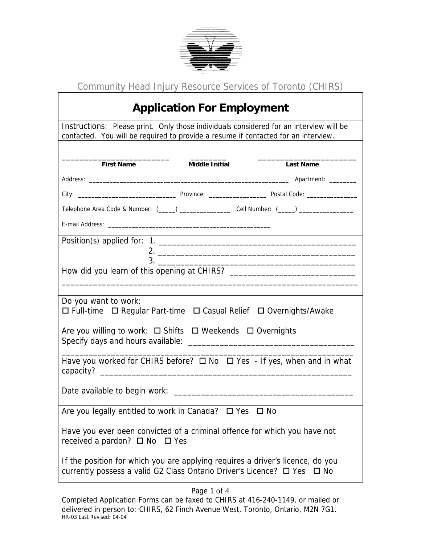

# **Application For Employment**

Instructions: Please print. Only those individuals considered for an interview will be contacted. You will be required to provide a resume if contacted for an interview.

| <b>First Name</b>                                                                                                                                                                                                                                                                                                                           | <b>Middle Initial</b> | <b>Last Name</b>                                                                            |  |  |  |
|---------------------------------------------------------------------------------------------------------------------------------------------------------------------------------------------------------------------------------------------------------------------------------------------------------------------------------------------|-----------------------|---------------------------------------------------------------------------------------------|--|--|--|
|                                                                                                                                                                                                                                                                                                                                             |                       |                                                                                             |  |  |  |
|                                                                                                                                                                                                                                                                                                                                             |                       |                                                                                             |  |  |  |
|                                                                                                                                                                                                                                                                                                                                             |                       | Telephone Area Code & Number: (____) __________________ Cell Number: (____) _______________ |  |  |  |
| E-mail Address: the contract of the contract of the contract of the contract of the contract of the contract of the contract of the contract of the contract of the contract of the contract of the contract of the contract o                                                                                                              |                       |                                                                                             |  |  |  |
|                                                                                                                                                                                                                                                                                                                                             |                       | 3.                                                                                          |  |  |  |
| Do you want to work:<br>$\Box$ Full-time $\Box$ Regular Part-time $\Box$ Casual Relief $\Box$ Overnights/Awake<br>Are you willing to work: $\Box$ Shifts $\Box$ Weekends $\Box$ Overnights                                                                                                                                                  |                       |                                                                                             |  |  |  |
|                                                                                                                                                                                                                                                                                                                                             |                       | Have you worked for CHIRS before? □ No □ Yes - If yes, when and in what                     |  |  |  |
| Are you legally entitled to work in Canada? $\Box$ Yes $\Box$ No<br>Have you ever been convicted of a criminal offence for which you have not<br>received a pardon? □ No □ Yes<br>If the position for which you are applying requires a driver's licence, do you<br>currently possess a valid G2 Class Ontario Driver's Licence? □ Yes □ No |                       |                                                                                             |  |  |  |
|                                                                                                                                                                                                                                                                                                                                             |                       |                                                                                             |  |  |  |

Page 1 of 4

Completed Application Forms can be faxed to CHIRS at 416-240-1149, or mailed or delivered in person to: CHIRS, 62 Finch Avenue West, Toronto, Ontario, M2N 7G1. HR-03 Last Revised: 04-04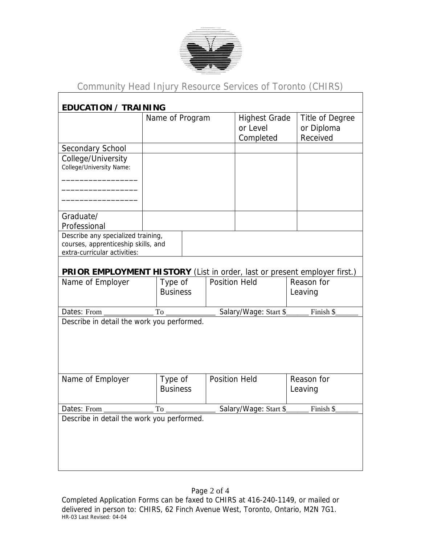

| <b>EDUCATION / TRAINING</b>                                                                               |                            |         |                       |                       |                        |  |
|-----------------------------------------------------------------------------------------------------------|----------------------------|---------|-----------------------|-----------------------|------------------------|--|
|                                                                                                           | Name of Program            |         |                       | <b>Highest Grade</b>  | <b>Title of Degree</b> |  |
|                                                                                                           |                            |         |                       | or Level              | or Diploma             |  |
|                                                                                                           |                            |         |                       | Completed             | Received               |  |
| Secondary School                                                                                          |                            |         |                       |                       |                        |  |
| College/University<br>College/University Name:                                                            |                            |         |                       |                       |                        |  |
|                                                                                                           |                            |         |                       |                       |                        |  |
| Graduate/                                                                                                 |                            |         |                       |                       |                        |  |
| Professional                                                                                              |                            |         |                       |                       |                        |  |
| Describe any specialized training,<br>courses, apprenticeship skills, and<br>extra-curricular activities: |                            |         |                       |                       |                        |  |
| PRIOR EMPLOYMENT HISTORY (List in order, last or present employer first.)                                 |                            |         |                       |                       |                        |  |
| Name of Employer                                                                                          |                            | Type of |                       | <b>Position Held</b>  | Reason for             |  |
|                                                                                                           | <b>Business</b>            |         |                       |                       | Leaving                |  |
| Dates: From                                                                                               | To                         |         | Salary/Wage: Start \$ |                       | Finish \$              |  |
| Describe in detail the work you performed.                                                                |                            |         |                       |                       |                        |  |
| Name of Employer                                                                                          | Type of<br><b>Business</b> |         | <b>Position Held</b>  |                       | Reason for<br>Leaving  |  |
| Dates: From                                                                                               | To                         |         |                       | Salary/Wage: Start \$ | Finish \$              |  |
| Describe in detail the work you performed.                                                                |                            |         |                       |                       |                        |  |
|                                                                                                           |                            |         |                       |                       |                        |  |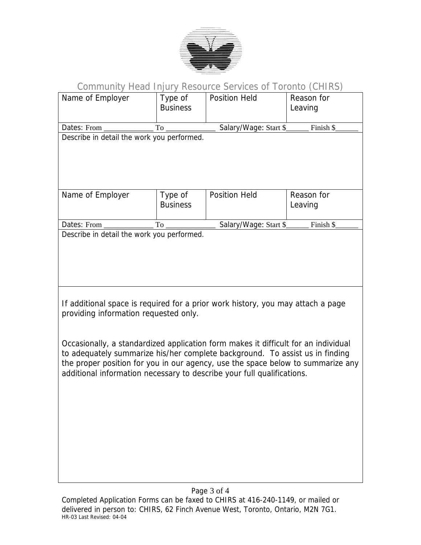

| Name of Employer                                                                   | Type of         | <b>Position Held</b>  | Reason for |  |  |  |  |
|------------------------------------------------------------------------------------|-----------------|-----------------------|------------|--|--|--|--|
|                                                                                    | <b>Business</b> |                       | Leaving    |  |  |  |  |
|                                                                                    |                 |                       |            |  |  |  |  |
| Dates: From                                                                        | To              | Salary/Wage: Start \$ | Finish \$  |  |  |  |  |
| Describe in detail the work you performed.                                         |                 |                       |            |  |  |  |  |
|                                                                                    |                 |                       |            |  |  |  |  |
|                                                                                    |                 |                       |            |  |  |  |  |
|                                                                                    |                 |                       |            |  |  |  |  |
|                                                                                    |                 |                       |            |  |  |  |  |
| Name of Employer                                                                   | Type of         | <b>Position Held</b>  | Reason for |  |  |  |  |
|                                                                                    | <b>Business</b> |                       |            |  |  |  |  |
|                                                                                    |                 |                       | Leaving    |  |  |  |  |
| Dates: From                                                                        | To              | Salary/Wage: Start \$ | Finish \$  |  |  |  |  |
| Describe in detail the work you performed.                                         |                 |                       |            |  |  |  |  |
|                                                                                    |                 |                       |            |  |  |  |  |
|                                                                                    |                 |                       |            |  |  |  |  |
|                                                                                    |                 |                       |            |  |  |  |  |
|                                                                                    |                 |                       |            |  |  |  |  |
|                                                                                    |                 |                       |            |  |  |  |  |
|                                                                                    |                 |                       |            |  |  |  |  |
| If additional space is required for a prior work history, you may attach a page    |                 |                       |            |  |  |  |  |
| providing information requested only.                                              |                 |                       |            |  |  |  |  |
|                                                                                    |                 |                       |            |  |  |  |  |
|                                                                                    |                 |                       |            |  |  |  |  |
| Occasionally, a standardized application form makes it difficult for an individual |                 |                       |            |  |  |  |  |
| to adequately summarize his/her complete background. To assist us in finding       |                 |                       |            |  |  |  |  |
| the proper position for you in our agency, use the space below to summarize any    |                 |                       |            |  |  |  |  |
| additional information necessary to describe your full qualifications.             |                 |                       |            |  |  |  |  |
|                                                                                    |                 |                       |            |  |  |  |  |
|                                                                                    |                 |                       |            |  |  |  |  |
|                                                                                    |                 |                       |            |  |  |  |  |
|                                                                                    |                 |                       |            |  |  |  |  |
|                                                                                    |                 |                       |            |  |  |  |  |
|                                                                                    |                 |                       |            |  |  |  |  |
|                                                                                    |                 |                       |            |  |  |  |  |
|                                                                                    |                 |                       |            |  |  |  |  |
|                                                                                    |                 |                       |            |  |  |  |  |
|                                                                                    |                 |                       |            |  |  |  |  |